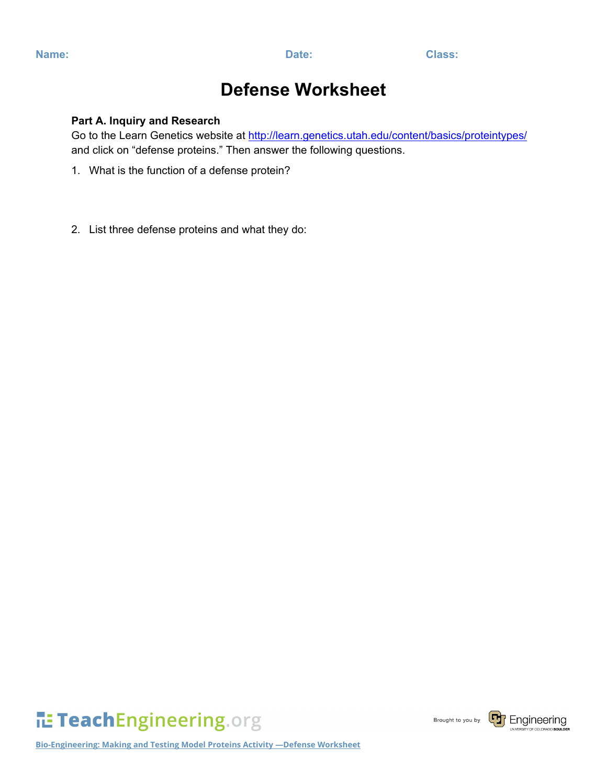## **Defense Worksheet**

## **Part A. Inquiry and Research**

Go to the Learn Genetics website at<http://learn.genetics.utah.edu/content/basics/proteintypes/> and click on "defense proteins." Then answer the following questions.

- 1. What is the function of a defense protein?
- 2. List three defense proteins and what they do:



Brought to you by



**Bio-Engineering: Making and Testing Model Proteins Activity —Defense Worksheet**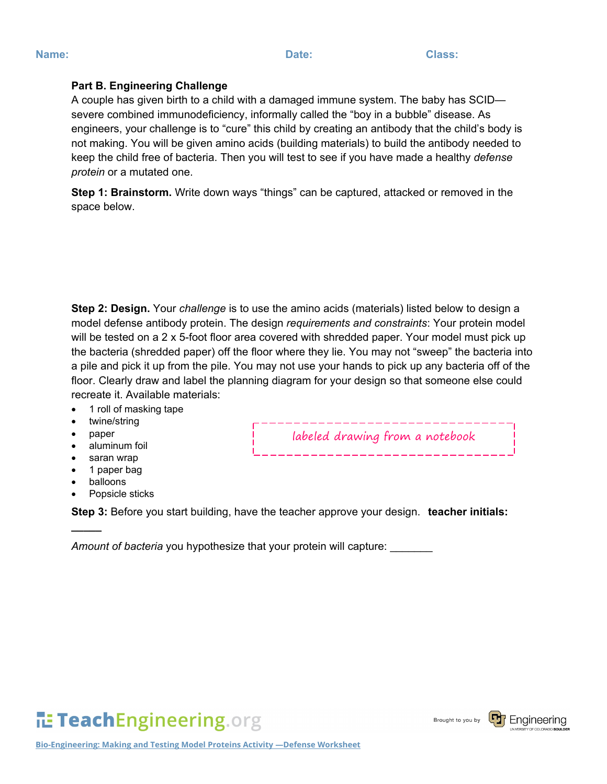## **Part B. Engineering Challenge**

A couple has given birth to a child with a damaged immune system. The baby has SCID severe combined immunodeficiency, informally called the "boy in a bubble" disease. As engineers, your challenge is to "cure" this child by creating an antibody that the child's body is not making. You will be given amino acids (building materials) to build the antibody needed to keep the child free of bacteria. Then you will test to see if you have made a healthy *defense protein* or a mutated one.

**Step 1: Brainstorm.** Write down ways "things" can be captured, attacked or removed in the space below.

**Step 2: Design.** Your *challenge* is to use the amino acids (materials) listed below to design a model defense antibody protein. The design *requirements and constraints*: Your protein model will be tested on a 2 x 5-foot floor area covered with shredded paper. Your model must pick up the bacteria (shredded paper) off the floor where they lie. You may not "sweep" the bacteria into a pile and pick it up from the pile. You may not use your hands to pick up any bacteria off of the floor. Clearly draw and label the planning diagram for your design so that someone else could recreate it. Available materials:

labeled drawing from a notebook

- 1 roll of masking tape
- twine/string
- paper
- aluminum foil
- saran wrap
- 1 paper bag
- balloons

**\_\_\_\_\_**

Popsicle sticks

**Step 3:** Before you start building, have the teacher approve your design. **teacher initials:** 

*Amount of bacteria* you hypothesize that your protein will capture:

**IL: TeachEngineering.org** 

Brought to you by

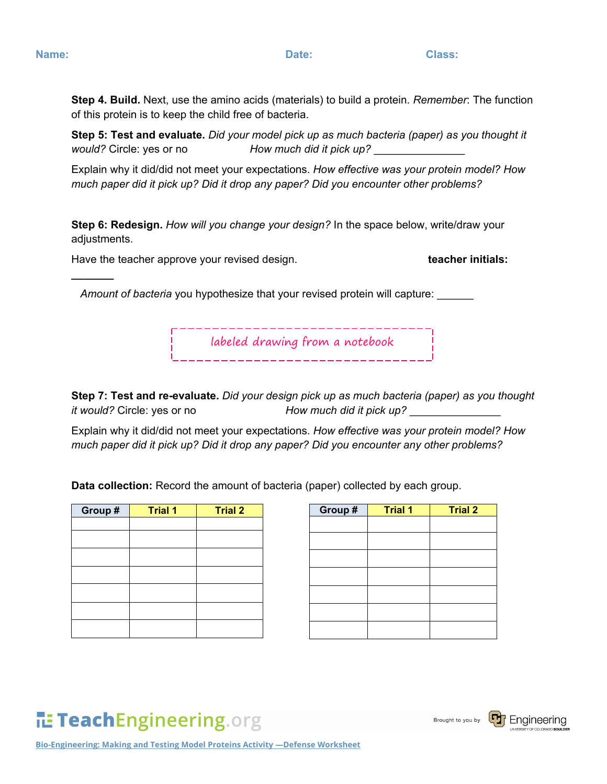**\_\_\_\_\_\_\_**

**Step 4. Build.** Next, use the amino acids (materials) to build a protein. *Remember*: The function of this protein is to keep the child free of bacteria.

**Step 5: Test and evaluate.** *Did your model pick up as much bacteria (paper) as you thought it would?* Circle: yes or no *How much did it pick up?* \_\_\_\_\_\_\_\_\_\_\_\_\_\_\_

Explain why it did/did not meet your expectations. *How effective was your protein model? How much paper did it pick up? Did it drop any paper? Did you encounter other problems?*

**Step 6: Redesign.** *How will you change your design?* In the space below, write/draw your adjustments.

Have the teacher approve your revised design. **the end of the teacher initials: teacher initials:** 

Amount of bacteria you hypothesize that your revised protein will capture:

labeled drawing from a notebook

**Step 7: Test and re-evaluate.** *Did your design pick up as much bacteria (paper) as you thought it would?* Circle: yes or no *How much did it pick up?* \_\_\_\_\_\_\_\_\_\_\_\_\_\_\_

Explain why it did/did not meet your expectations. *How effective was your protein model? How much paper did it pick up? Did it drop any paper? Did you encounter any other problems?*

**Data collection:** Record the amount of bacteria (paper) collected by each group.

| Group# | <b>Trial 1</b> | <b>Trial 2</b> | Group # | <b>Trial 1</b> | <b>Trial 2</b> |
|--------|----------------|----------------|---------|----------------|----------------|
|        |                |                |         |                |                |
|        |                |                |         |                |                |
|        |                |                |         |                |                |
|        |                |                |         |                |                |
|        |                |                |         |                |                |
|        |                |                |         |                |                |
|        |                |                |         |                |                |

| Group # | <b>Trial 1</b> | <b>Trial 2</b> |
|---------|----------------|----------------|
|         |                |                |
|         |                |                |
|         |                |                |
|         |                |                |
|         |                |                |
|         |                |                |
|         |                |                |

TeachEngineering.org

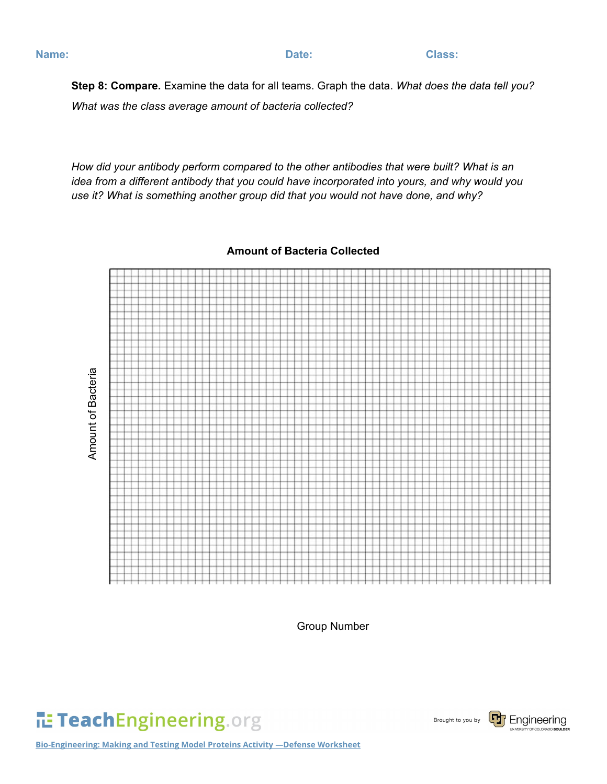**Step 8: Compare.** Examine the data for all teams. Graph the data. *What does the data tell you? What was the class average amount of bacteria collected?*

*How did your antibody perform compared to the other antibodies that were built? What is an idea from a different antibody that you could have incorporated into yours, and why would you use it? What is something another group did that you would not have done, and why?* 

**Amount of Bacteria Collected**



Group Number





**Bio-Engineering: Making and Testing Model Proteins Activity —Defense Worksheet**